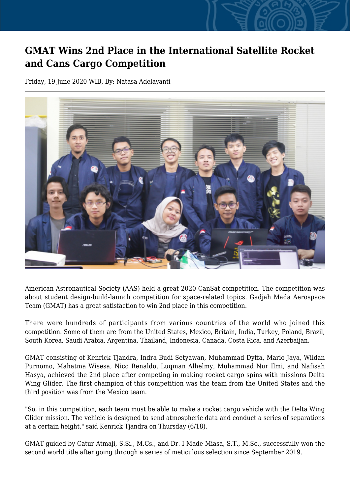## **GMAT Wins 2nd Place in the International Satellite Rocket and Cans Cargo Competition**

Friday, 19 June 2020 WIB, By: Natasa Adelayanti



American Astronautical Society (AAS) held a great 2020 CanSat competition. The competition was about student design-build-launch competition for space-related topics. Gadjah Mada Aerospace Team (GMAT) has a great satisfaction to win 2nd place in this competition.

There were hundreds of participants from various countries of the world who joined this competition. Some of them are from the United States, Mexico, Britain, India, Turkey, Poland, Brazil, South Korea, Saudi Arabia, Argentina, Thailand, Indonesia, Canada, Costa Rica, and Azerbaijan.

GMAT consisting of Kenrick Tjandra, Indra Budi Setyawan, Muhammad Dyffa, Mario Jaya, Wildan Purnomo, Mahatma Wisesa, Nico Renaldo, Luqman Alhelmy, Muhammad Nur Ilmi, and Nafisah Hasya, achieved the 2nd place after competing in making rocket cargo spins with missions Delta Wing Glider. The first champion of this competition was the team from the United States and the third position was from the Mexico team.

"So, in this competition, each team must be able to make a rocket cargo vehicle with the Delta Wing Glider mission. The vehicle is designed to send atmospheric data and conduct a series of separations at a certain height," said Kenrick Tjandra on Thursday (6/18).

GMAT guided by Catur Atmaji, S.Si., M.Cs., and Dr. I Made Miasa, S.T., M.Sc., successfully won the second world title after going through a series of meticulous selection since September 2019.